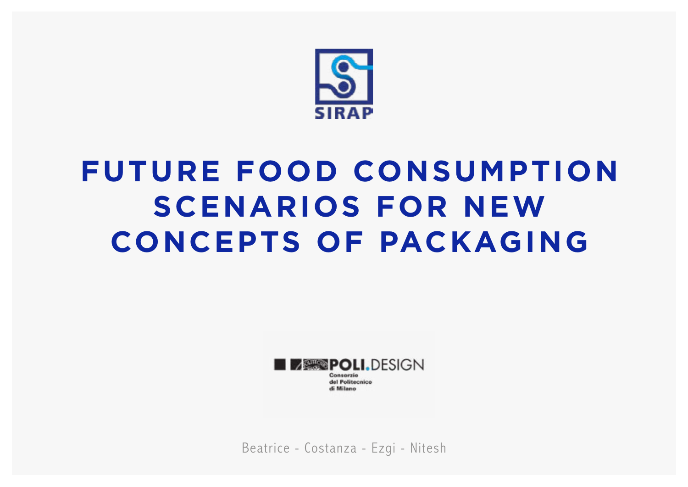

# **FUTURE FOOD CONSUMPTION SCENARIOS FOR NEW CONCEPTS OF PACKAGING**



Beatrice - Costanza - Ezgi - Nitesh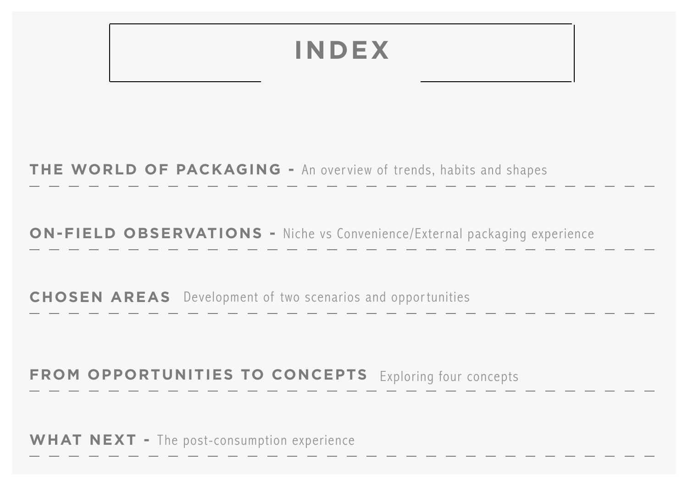### **INDEX**

**THE WORLD OF PACKAGING -** An overview of trends, habits and shapes

**ON-FIELD OBSERVATIONS -** Niche vs Convenience/External packaging experience

**CHOSEN AREAS** Development of two scenarios and opportunities

#### **FROM OPPORTUNITIES TO CONCEPTS** Exploring four concepts

**WHAT NEXT -** The post-consumption experience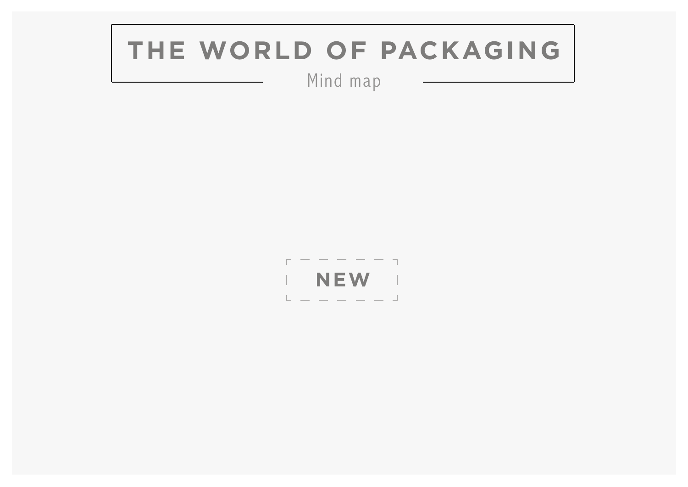### **THE WORLD OF PACKAGING**

Mind map

 $r - - - - - - -$ | **NEW** |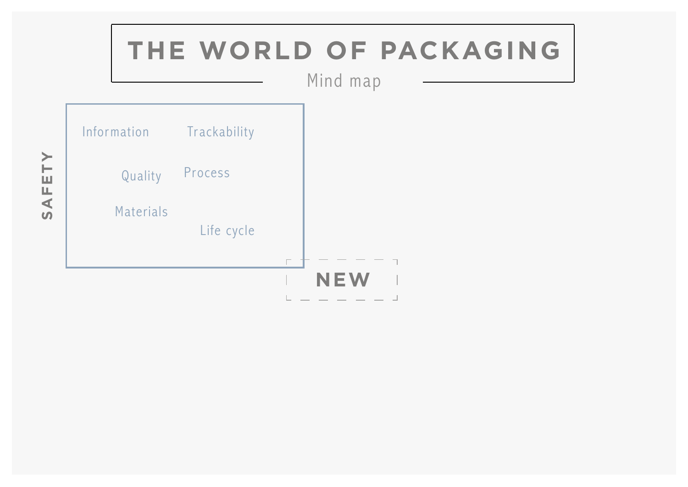

TY **SAFETY**AFE<sup>-</sup>  $\overline{u}$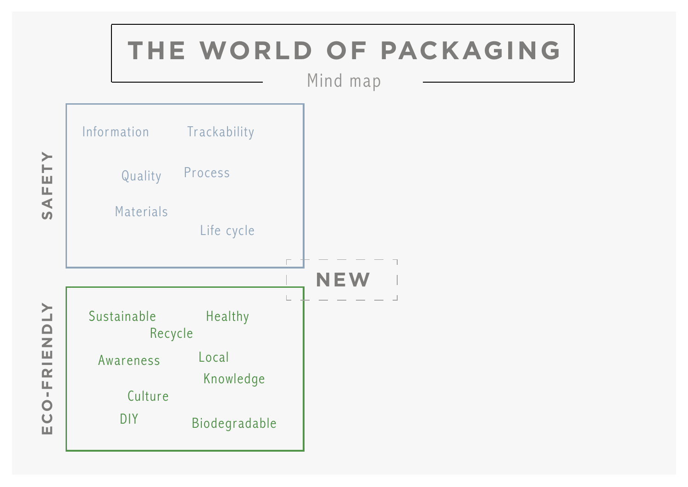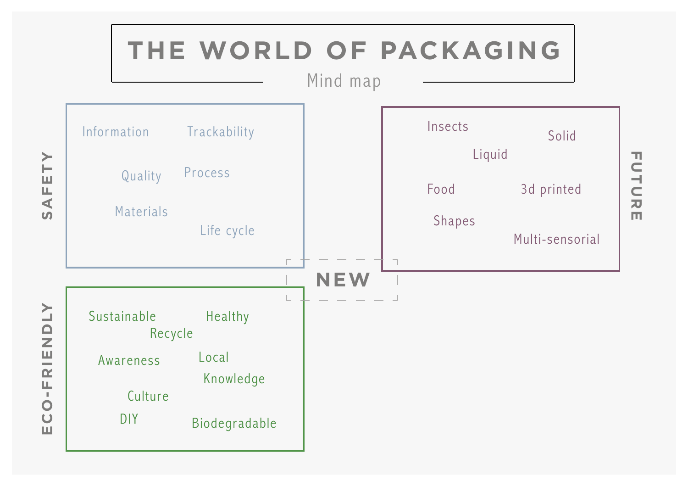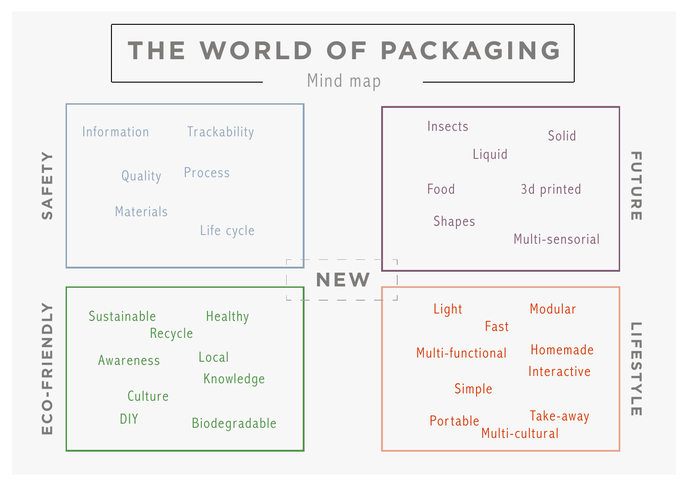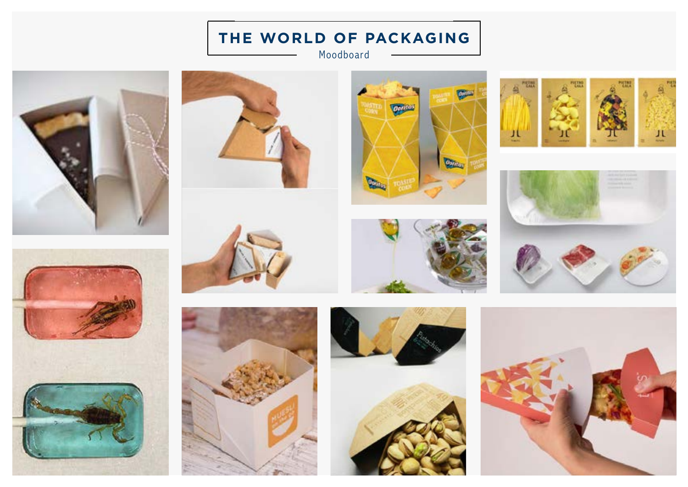#### **THE WORLD OF PACKAGING**

Moodboard



















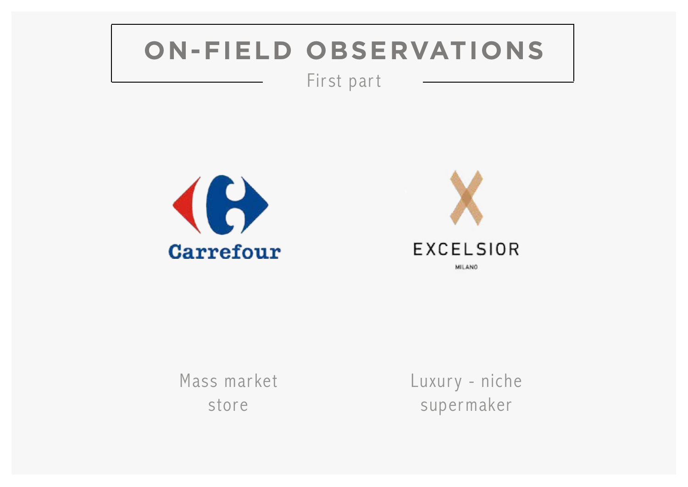### **ON-FIELD OBSERVATIONS**

First part





Mass market store

Luxury - niche supermaker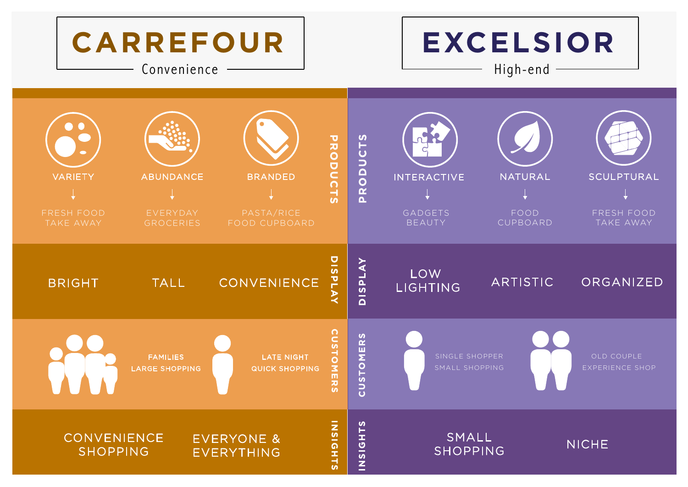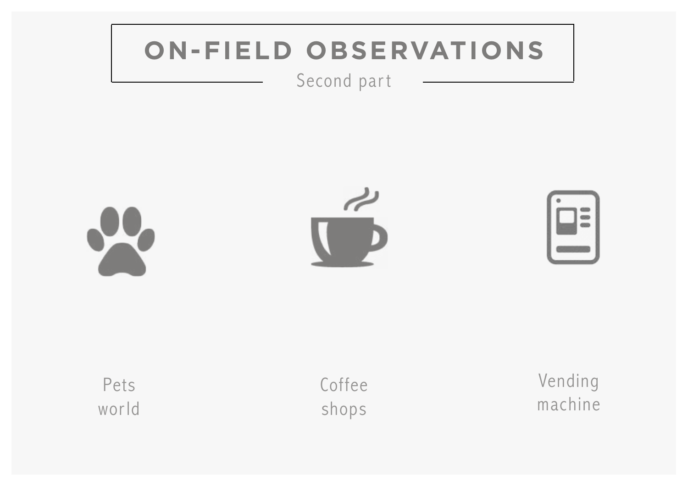### **ON-FIELD OBSERVATIONS**

#### Second part



Pets world Coffee shops

Vending machine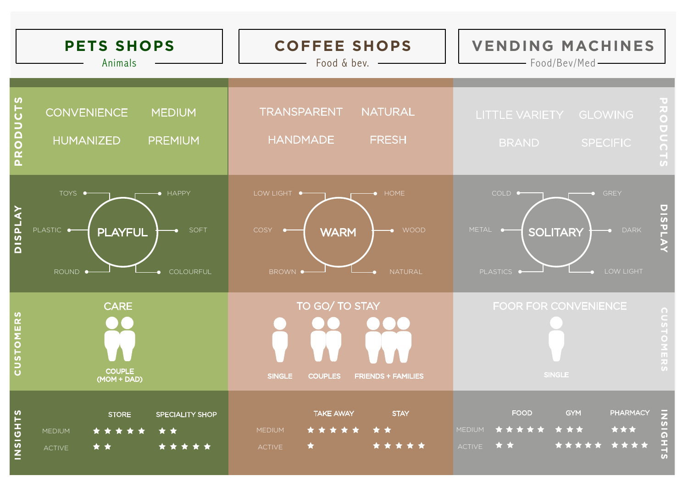| <b>PETS SHOPS</b><br>Animals                                                                                                   | <b>COFFEE SHOPS</b><br>Food & bev. -                                                               | <b>VENDING MACHINES</b><br>- Food/Bev/Med-                                                                                           |
|--------------------------------------------------------------------------------------------------------------------------------|----------------------------------------------------------------------------------------------------|--------------------------------------------------------------------------------------------------------------------------------------|
| S<br>$\overline{C}$<br><b>CONVENIENCE</b><br><b>MEDIUM</b><br>PRODU<br><b>HUMANIZED</b><br><b>PREMIUM</b>                      | <b>TRANSPARENT</b><br><b>NATURAL</b><br><b>HANDMADE</b><br><b>FRESH</b>                            | RODUCTS<br><b>LITTLE VARIETY</b><br><b>GLOWING</b><br><b>BRAND</b><br><b>SPECIFIC</b>                                                |
| TOYS •<br>$\bullet$ HAPPY<br><b>DISPLAY</b><br>PLASTIC $\rightarrow$<br>SOFT<br><b>PLAYFUL</b><br>COLOURFUL<br>ROUND $\bullet$ | LOW LIGHT •<br>HOME<br><b>COSY</b><br>$\rightarrow$ WOOD<br><b>WARM</b><br>NATURAL<br>BROWN ·      | COLD $\bullet$<br>GREY<br>DISPLA<br>METAL •<br><b>DARK</b><br><b>SOLITARY</b><br>$\bullet$<br>PLASTICS •<br>LOW LIGHT                |
| <b>CARE</b><br><b>CUSTOMERS</b><br><b>COUPLE</b><br>(MOM + DAD)                                                                | TO GO/ TO STAY<br><b>SINGLE</b><br><b>FRIENDS + FAMILIES</b><br><b>COUPLES</b>                     | FOOR FOR CONVENIENCE<br><b>CUSTOMERS</b><br><b>SINGLE</b>                                                                            |
| INSIGHTS<br><b>STORE</b><br>SPECIALITY SHOP<br>* *<br>* * *<br>MEDIUM<br>*****<br>★ ★<br>ACTIVE                                | <b>TAKE AWAY</b><br><b>STAY</b><br>* * * * *<br>★ ★<br><b>MEDIUM</b><br>*****<br>$\star$<br>ACTIVE | PHARMACY<br><b>GYM</b><br>INSIGHTS<br><b>FOOD</b><br>* * *<br>***<br><b>MEDIUM</b><br>*****<br>****<br>★ ★<br>*****<br><b>ACTIVE</b> |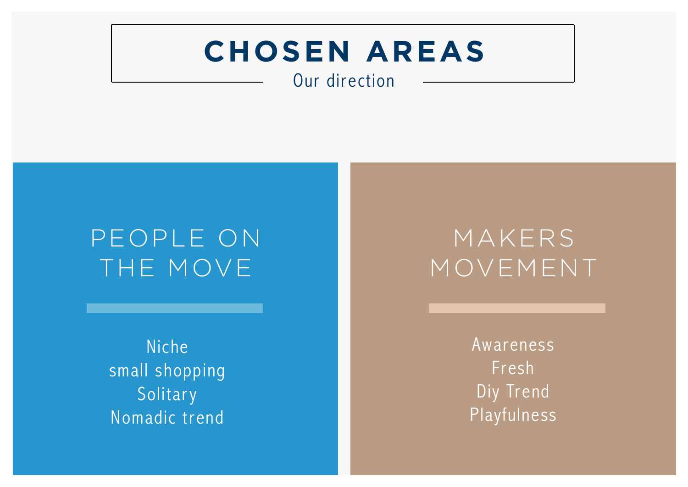## **CHOSEN AREAS**

Our direction

### PEOPLE ON THE MOVE

Niche small shopping Solitary Nomadic trend

### MAKERS MOVEMENT

Awareness Fresh Diy Trend Playfulness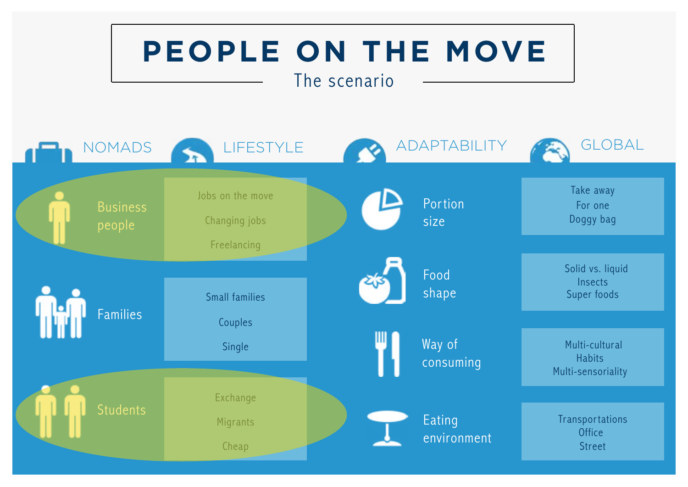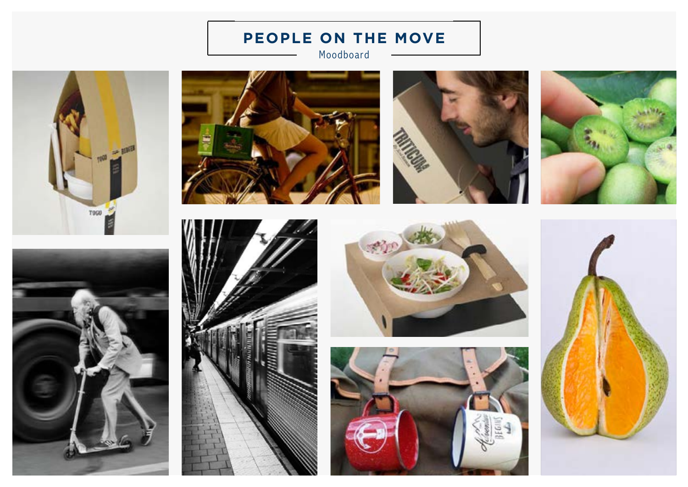Moodboard











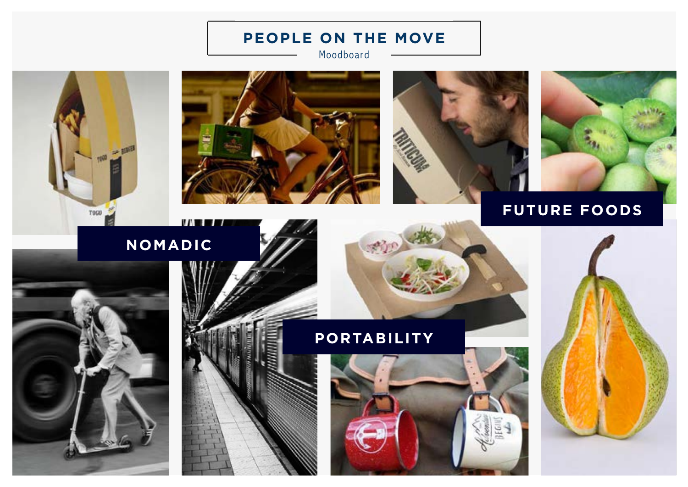Moodboard







#### **FUTURE FOODS**



**T990** 





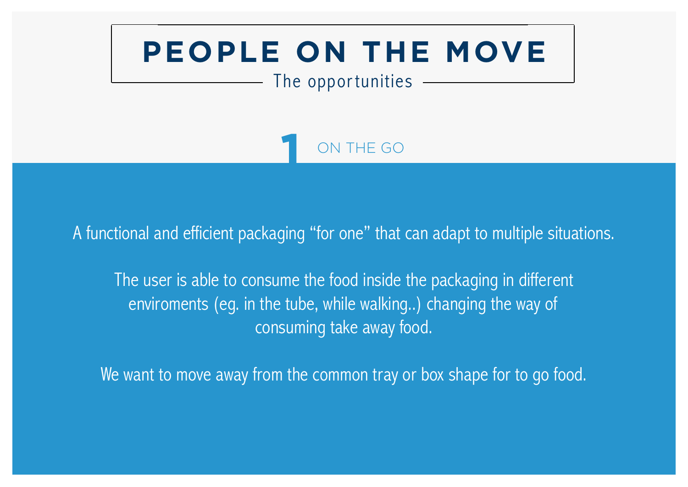#### The opportunities

ON THE GO

A functional and efficient packaging "for one" that can adapt to multiple situations.

The user is able to consume the food inside the packaging in different enviroments (eg. in the tube, while walking..) changing the way of consuming take away food.

We want to move away from the common tray or box shape for to go food.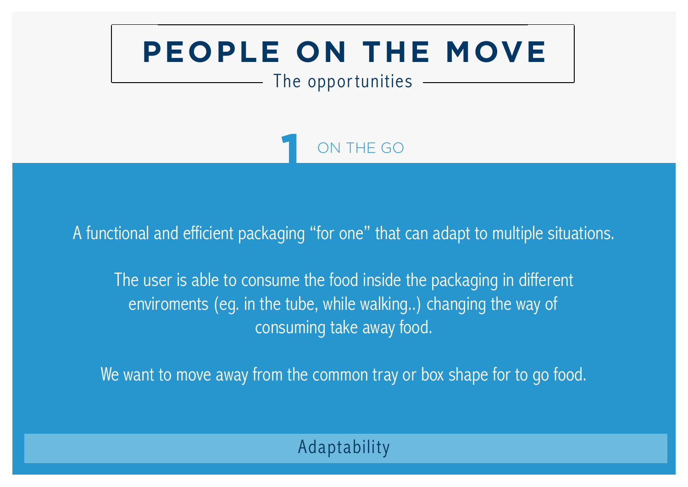#### The opportunities

ON THE GO

A functional and efficient packaging "for one" that can adapt to multiple situations.

The user is able to consume the food inside the packaging in different enviroments (eg. in the tube, while walking..) changing the way of consuming take away food.

We want to move away from the common tray or box shape for to go food.

### Adaptability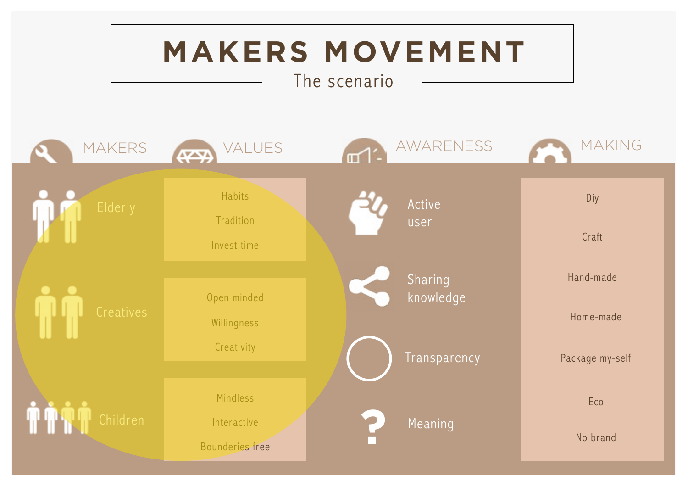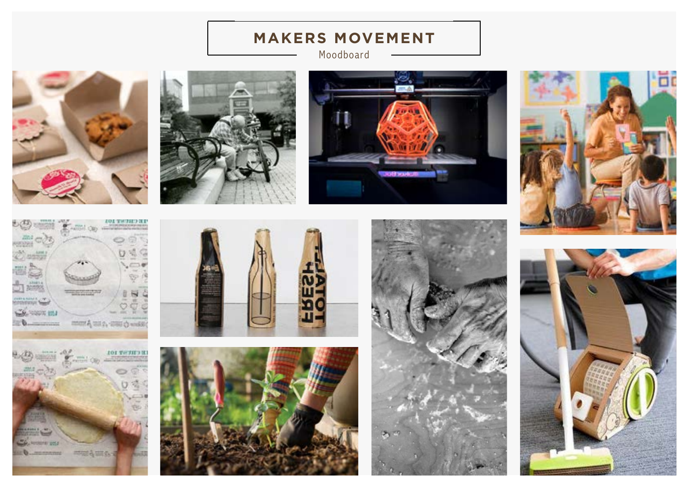Moodboard



















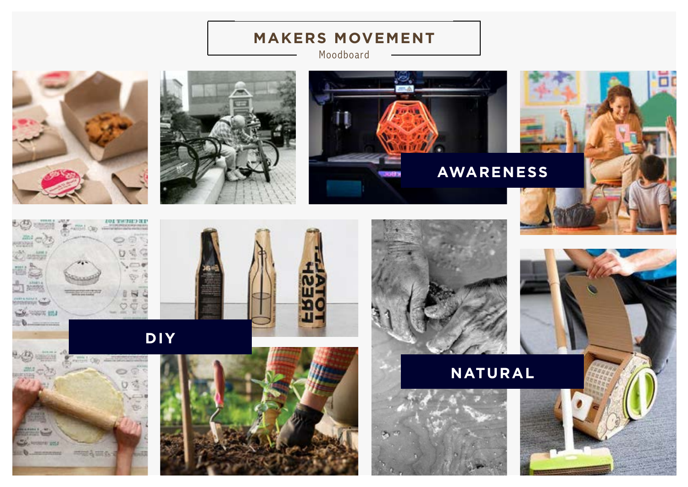Moodboard











**DOOR INTO** 



**DIY**







**NATURAL**

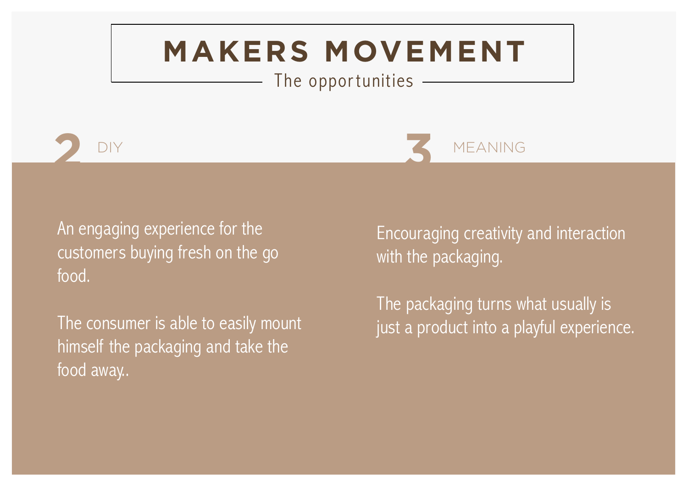The opportunities





An engaging experience for the customers buying fresh on the go food.

The consumer is able to easily mount himself the packaging and take the food away..

Encouraging creativity and interaction with the packaging.

The packaging turns what usually is just a product into a playful experience.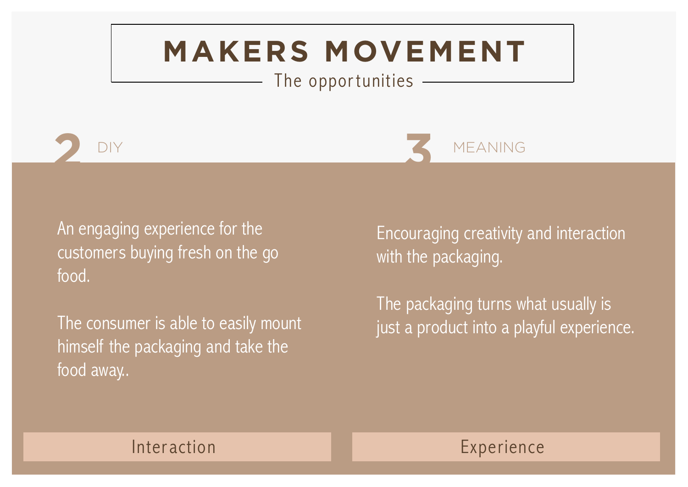The opportunities





An engaging experience for the customers buying fresh on the go food.

The consumer is able to easily mount himself the packaging and take the food away..

Encouraging creativity and interaction with the packaging.

The packaging turns what usually is just a product into a playful experience.

#### Interaction **Experience**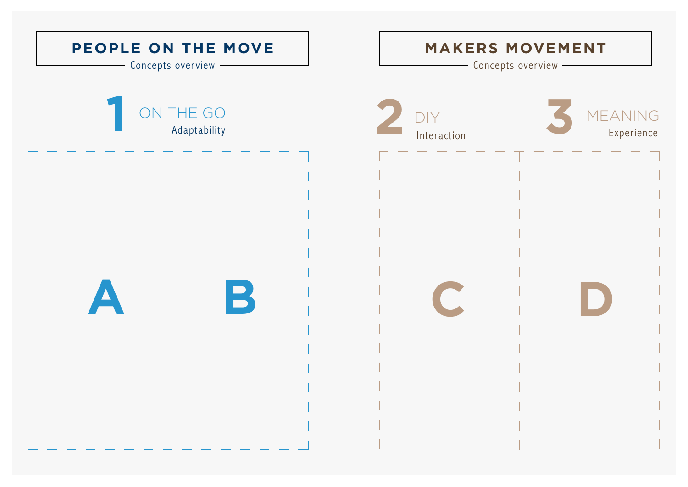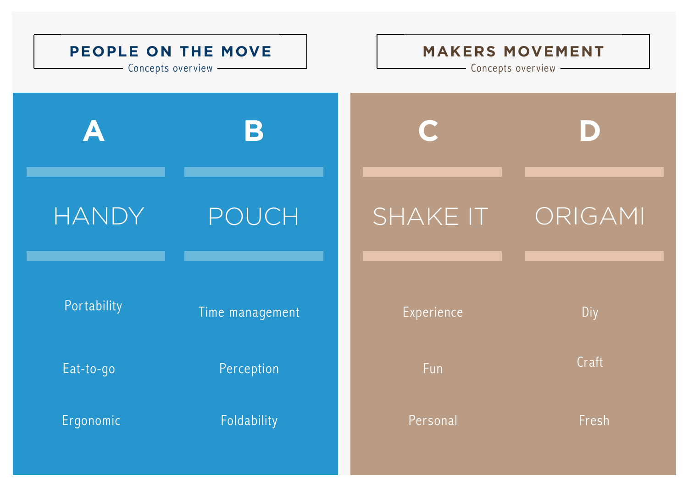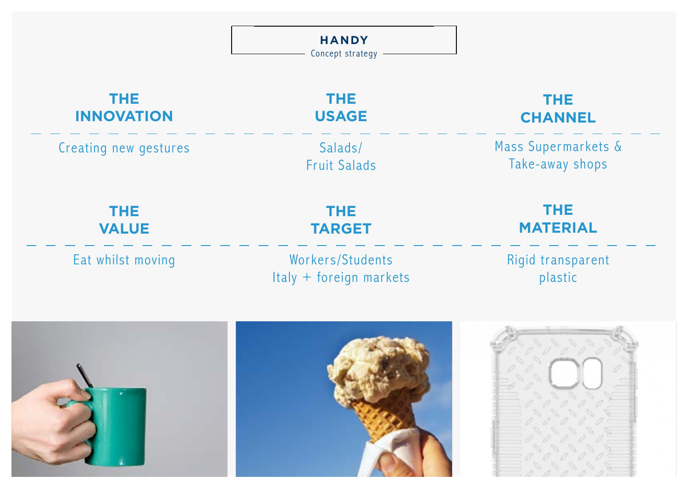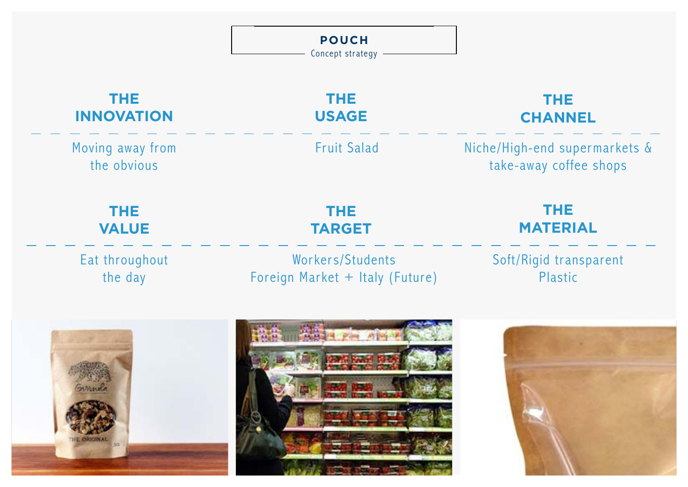|                                 | <b>POUCH</b><br>Concept strategy - |                                                         |
|---------------------------------|------------------------------------|---------------------------------------------------------|
| <b>THE</b>                      | <b>THE</b>                         | <b>THE</b>                                              |
| <b>INNOVATION</b>               | <b>USAGE</b>                       | <b>CHANNEL</b>                                          |
| Moving away from<br>the obvious | <b>Fruit Salad</b>                 | Niche/High-end supermarkets &<br>take-away coffee shops |
| <b>THE</b>                      | <b>THE</b>                         | <b>THE</b>                                              |
| <b>VALUE</b>                    | <b>TARGET</b>                      | <b>MATERIAL</b>                                         |
| Eat throughout                  | Workers/Students                   | Soft/Rigid transparent                                  |
| the day                         | Foreign Market + Italy (Future)    | Plastic                                                 |
| Gunnola<br>D/2                  |                                    |                                                         |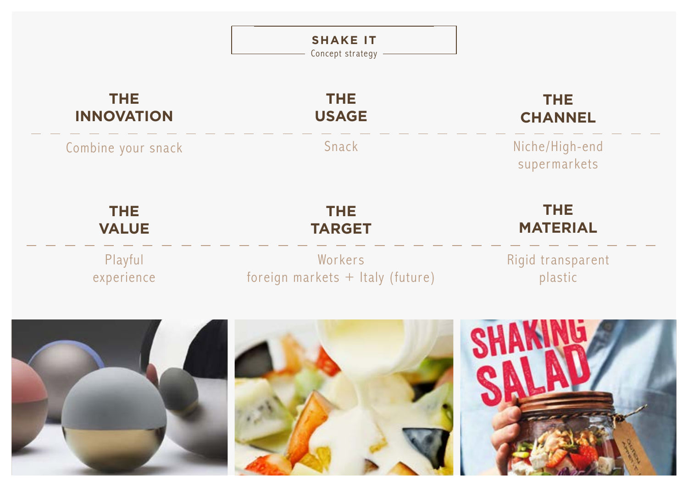|                                 | <b>SHAKE IT</b><br>Concept strategy         |                                |
|---------------------------------|---------------------------------------------|--------------------------------|
| <b>THE</b><br><b>INNOVATION</b> | THE.<br><b>USAGE</b>                        | THE.<br><b>CHANNEL</b>         |
| Combine your snack              | Snack                                       | Niche/High-end<br>supermarkets |
| <b>THE</b><br><b>VALUE</b>      | <b>THE</b><br><b>TARGET</b>                 | <b>THE</b><br><b>MATERIAL</b>  |
| Playful<br>experience           | Workers<br>foreign markets + Italy (future) | Rigid transparent<br>plastic   |
|                                 |                                             |                                |
|                                 |                                             |                                |
|                                 |                                             |                                |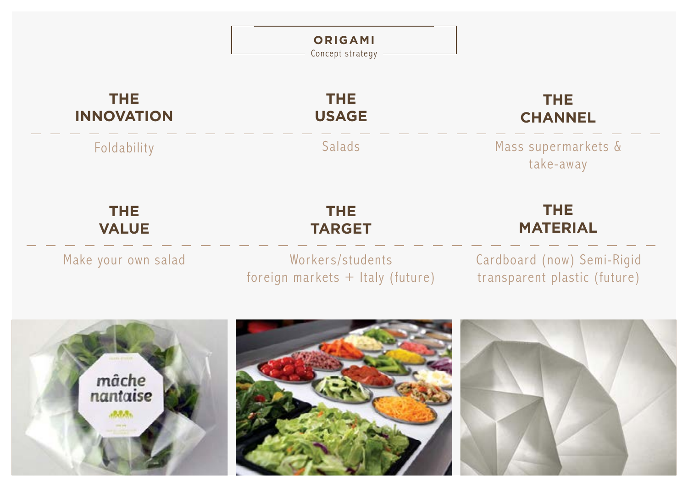|                                 | <b>ORIGAMI</b><br>Concept strategy                   |                                                            |
|---------------------------------|------------------------------------------------------|------------------------------------------------------------|
| <b>THE</b><br><b>INNOVATION</b> | <b>THE</b><br><b>USAGE</b>                           | <b>THE</b><br><b>CHANNEL</b>                               |
| Foldability                     | Salads                                               | Mass supermarkets &<br>take-away                           |
| <b>THE</b><br><b>VALUE</b>      | <b>THE</b><br><b>TARGET</b>                          | <b>THE</b><br><b>MATERIAL</b>                              |
| Make your own salad             | Workers/students<br>foreign markets + Italy (future) | Cardboard (now) Semi-Rigid<br>transparent plastic (future) |
| mâche<br>nantaise               |                                                      |                                                            |